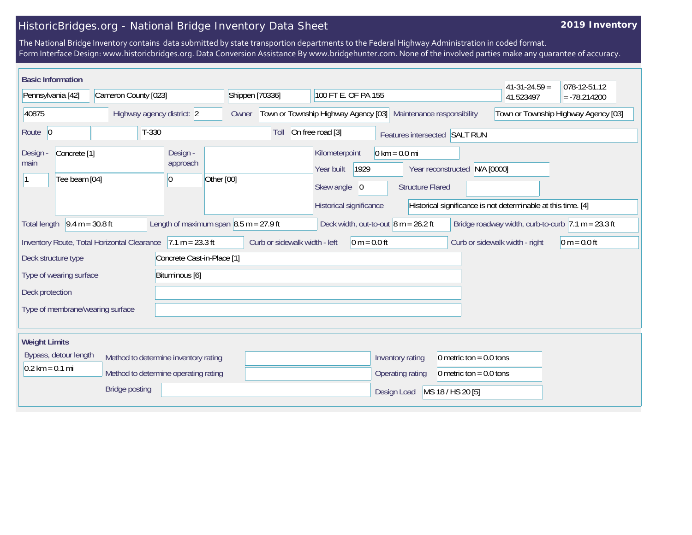## HistoricBridges.org - National Bridge Inventory Data Sheet

## **2019 Inventory**

The National Bridge Inventory contains data submitted by state transportion departments to the Federal Highway Administration in coded format. Form Interface Design: www.historicbridges.org. Data Conversion Assistance By www.bridgehunter.com. None of the involved parties make any guarantee of accuracy.

| <b>Basic Information</b>                                     |                                                                              |                                                                                     |                 |                               |                                                                                 |                                                            |                                                        | $41-31-24.59=$                                                                                           | 078-12-51.12                         |
|--------------------------------------------------------------|------------------------------------------------------------------------------|-------------------------------------------------------------------------------------|-----------------|-------------------------------|---------------------------------------------------------------------------------|------------------------------------------------------------|--------------------------------------------------------|----------------------------------------------------------------------------------------------------------|--------------------------------------|
| Pennsylvania [42]                                            | Cameron County [023]                                                         |                                                                                     | Shippen [70336] |                               | 100 FT E. OF PA 155                                                             |                                                            |                                                        | 41.523497                                                                                                | $= -78.214200$                       |
| 40875                                                        | Highway agency district: 2                                                   |                                                                                     | Owner           |                               | Town or Township Highway Agency [03] Maintenance responsibility                 |                                                            |                                                        |                                                                                                          | Town or Township Highway Agency [03] |
| Route 0                                                      | $T-330$                                                                      |                                                                                     |                 | Toll                          | On free road [3]                                                                |                                                            | Features intersected SALT RUN                          |                                                                                                          |                                      |
| Concrete <sup>[1]</sup><br>Design -<br>main<br>Tee beam [04] |                                                                              | Design -<br>approach<br>$\overline{0}$                                              | Other [00]      |                               | Kilometerpoint<br>1929<br>Year built<br>Skew angle 0<br>Historical significance | $0 \text{ km} = 0.0 \text{ mi}$<br><b>Structure Flared</b> | Year reconstructed N/A [0000]                          | Historical significance is not determinable at this time. [4]                                            |                                      |
| <b>Total length</b>                                          | $9.4 m = 30.8 ft$<br>Inventory Route, Total Horizontal Clearance             | Length of maximum span $\vert 8.5 \text{ m} = 27.9 \text{ ft}$<br>$7.1 m = 23.3 ft$ |                 | Curb or sidewalk width - left | Deck width, out-to-out $8 m = 26.2 ft$<br>$0 m = 0.0 ft$                        |                                                            |                                                        | Bridge roadway width, curb-to-curb $ 7.1 \text{ m} = 23.3 \text{ ft} $<br>Curb or sidewalk width - right | $0 m = 0.0 ft$                       |
| Deck structure type<br>Type of wearing surface               |                                                                              | Concrete Cast-in-Place [1]<br>Bituminous [6]                                        |                 |                               |                                                                                 |                                                            |                                                        |                                                                                                          |                                      |
| Deck protection                                              |                                                                              |                                                                                     |                 |                               |                                                                                 |                                                            |                                                        |                                                                                                          |                                      |
| Type of membrane/wearing surface                             |                                                                              |                                                                                     |                 |                               |                                                                                 |                                                            |                                                        |                                                                                                          |                                      |
| <b>Weight Limits</b>                                         |                                                                              |                                                                                     |                 |                               |                                                                                 |                                                            |                                                        |                                                                                                          |                                      |
| Bypass, detour length<br>$0.2$ km = 0.1 mi                   | Method to determine inventory rating<br>Method to determine operating rating |                                                                                     |                 |                               |                                                                                 | Inventory rating<br>Operating rating                       | 0 metric ton = $0.0$ tons<br>0 metric ton = $0.0$ tons |                                                                                                          |                                      |
|                                                              | <b>Bridge posting</b>                                                        |                                                                                     |                 |                               |                                                                                 | Design Load                                                | MS 18 / HS 20 [5]                                      |                                                                                                          |                                      |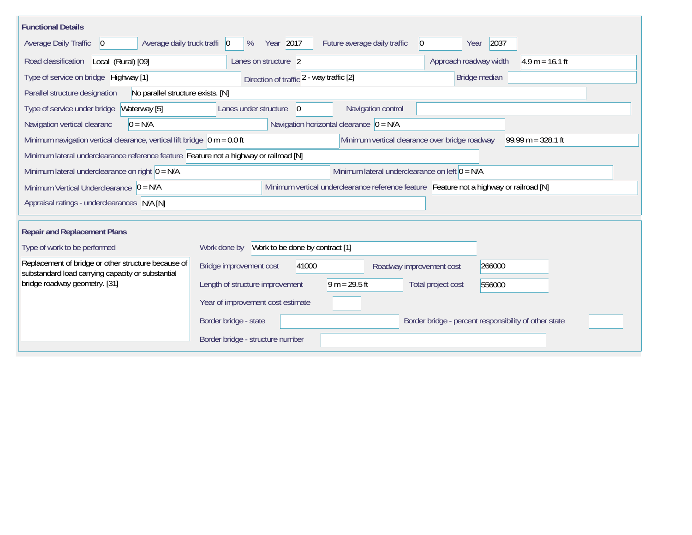| <b>Functional Details</b>                                                                                                                                  |                                          |                                                       |                          |                                                       |                   |  |  |  |  |
|------------------------------------------------------------------------------------------------------------------------------------------------------------|------------------------------------------|-------------------------------------------------------|--------------------------|-------------------------------------------------------|-------------------|--|--|--|--|
| Average daily truck traffi   0<br>Average Daily Traffic<br>$\vert 0 \vert$                                                                                 | Year 2017<br>%                           | Future average daily traffic                          | $ 0\rangle$              | 2037<br>Year                                          |                   |  |  |  |  |
| Road classification<br>Local (Rural) [09]                                                                                                                  | Lanes on structure 2                     |                                                       |                          | Approach roadway width                                | $4.9 m = 16.1 ft$ |  |  |  |  |
| Type of service on bridge Highway [1]                                                                                                                      | Direction of traffic 2 - way traffic [2] |                                                       |                          | Bridge median                                         |                   |  |  |  |  |
| No parallel structure exists. [N]<br>Parallel structure designation                                                                                        |                                          |                                                       |                          |                                                       |                   |  |  |  |  |
| Waterway [5]<br>Type of service under bridge                                                                                                               | Lanes under structure<br>$\overline{0}$  |                                                       | Navigation control       |                                                       |                   |  |  |  |  |
| $0 = N/A$<br>Navigation vertical clearanc                                                                                                                  |                                          | Navigation horizontal clearance $\vert 0 = N/A \vert$ |                          |                                                       |                   |  |  |  |  |
| Minimum navigation vertical clearance, vertical lift bridge $\vert$ 0 m = 0.0 ft<br>Minimum vertical clearance over bridge roadway<br>$99.99 m = 328.1 ft$ |                                          |                                                       |                          |                                                       |                   |  |  |  |  |
| Minimum lateral underclearance reference feature Feature not a highway or railroad [N]                                                                     |                                          |                                                       |                          |                                                       |                   |  |  |  |  |
| Minimum lateral underclearance on left $0 = N/A$<br>Minimum lateral underclearance on right $0 = N/A$                                                      |                                          |                                                       |                          |                                                       |                   |  |  |  |  |
| Minimum Vertical Underclearance $ 0 = N/A $<br>Minimum vertical underclearance reference feature Feature not a highway or railroad [N]                     |                                          |                                                       |                          |                                                       |                   |  |  |  |  |
| Appraisal ratings - underclearances N/A [N]                                                                                                                |                                          |                                                       |                          |                                                       |                   |  |  |  |  |
|                                                                                                                                                            |                                          |                                                       |                          |                                                       |                   |  |  |  |  |
| <b>Repair and Replacement Plans</b>                                                                                                                        |                                          |                                                       |                          |                                                       |                   |  |  |  |  |
| Type of work to be performed                                                                                                                               |                                          |                                                       |                          |                                                       |                   |  |  |  |  |
| Replacement of bridge or other structure because of<br>substandard load carrying capacity or substantial                                                   | Bridge improvement cost                  | 41000                                                 | Roadway improvement cost | 266000                                                |                   |  |  |  |  |
| bridge roadway geometry. [31]                                                                                                                              | Length of structure improvement          | $9 m = 29.5 ft$                                       |                          | Total project cost<br>556000                          |                   |  |  |  |  |
|                                                                                                                                                            | Year of improvement cost estimate        |                                                       |                          |                                                       |                   |  |  |  |  |
|                                                                                                                                                            | Border bridge - state                    |                                                       |                          | Border bridge - percent responsibility of other state |                   |  |  |  |  |
|                                                                                                                                                            | Border bridge - structure number         |                                                       |                          |                                                       |                   |  |  |  |  |